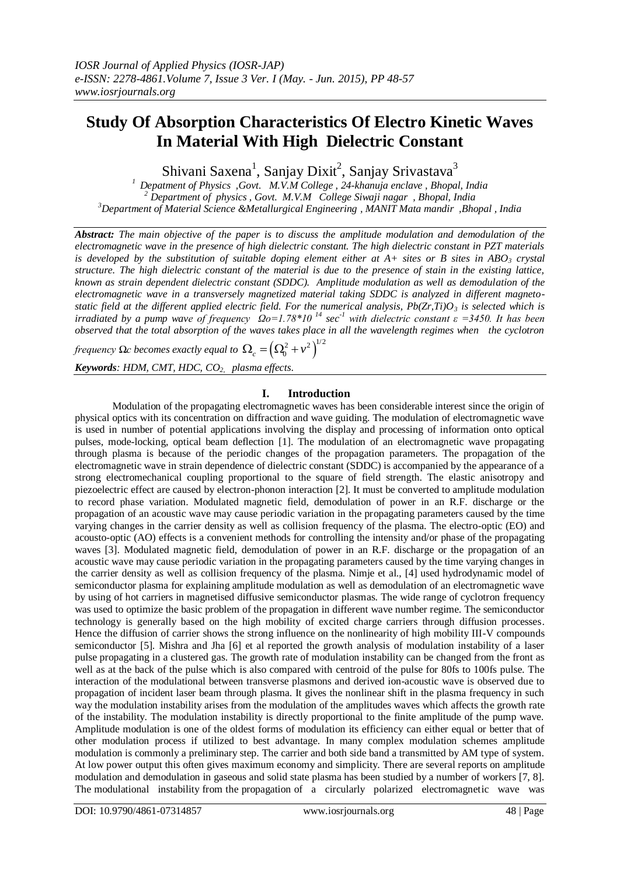# **Study Of Absorption Characteristics Of Electro Kinetic Waves In Material With High Dielectric Constant**

Shivani Saxena<sup>1</sup>, Sanjay Dixit<sup>2</sup>, Sanjay Srivastava<sup>3</sup>

*<sup>1</sup>Depatment of Physics ,Govt. M.V.M College , 24-khanuja enclave , Bhopal, India <sup>2</sup> Department of physics , Govt. M.V.M College Siwaji nagar , Bhopal, India <sup>3</sup>Department of Material Science &Metallurgical Engineering , MANIT Mata mandir ,Bhopal , India*

*Abstract: The main objective of the paper is to discuss the amplitude modulation and demodulation of the electromagnetic wave in the presence of high dielectric constant. The high dielectric constant in PZT materials is developed by the substitution of suitable doping element either at A+ sites or B sites in ABO<sup>3</sup> crystal structure. The high dielectric constant of the material is due to the presence of stain in the existing lattice, known as strain dependent dielectric constant (SDDC). Amplitude modulation as well as demodulation of the electromagnetic wave in a transversely magnetized material taking SDDC is analyzed in different magnetostatic field at the different applied electric field. For the numerical analysis, Pb(Zr,Ti)O<sup>3</sup> is selected which is irradiated by a pump wave of frequency*  $\Omega_0 = 1.78 \times 10^{-14}$  sec<sup>-1</sup> with dielectric constant  $\varepsilon = 3450$ . It has been *observed that the total absorption of the waves takes place in all the wavelength regimes when the cyclotron* 

*frequency*  $\Omega$ *c becomes exactly equal to*  $\Omega_c = \left(\Omega_0^2 + v^2\right)^{\!1/2}$ 

*Keywords: HDM, CMT, HDC, CO2, plasma effects*.

## **I. Introduction**

Modulation of the propagating electromagnetic waves has been considerable interest since the origin of physical optics with its concentration on diffraction and wave guiding. The modulation of electromagnetic wave is used in number of potential applications involving the display and processing of information onto optical pulses, mode-locking, optical beam deflection [1]. The modulation of an electromagnetic wave propagating through plasma is because of the periodic changes of the propagation parameters. The propagation of the electromagnetic wave in strain dependence of dielectric constant (SDDC) is accompanied by the appearance of a strong electromechanical coupling proportional to the square of field strength. The elastic anisotropy and piezoelectric effect are caused by electron-phonon interaction [2]. It must be converted to amplitude modulation to record phase variation. Modulated magnetic field, demodulation of power in an R.F. discharge or the propagation of an acoustic wave may cause periodic variation in the propagating parameters caused by the time varying changes in the carrier density as well as collision frequency of the plasma. The electro-optic (EO) and acousto-optic (AO) effects is a convenient methods for controlling the intensity and/or phase of the propagating waves [3]. Modulated magnetic field, demodulation of power in an R.F. discharge or the propagation of an acoustic wave may cause periodic variation in the propagating parameters caused by the time varying changes in the carrier density as well as collision frequency of the plasma. Nimje et al., [4] used hydrodynamic model of semiconductor plasma for explaining amplitude modulation as well as demodulation of an electromagnetic wave by using of hot carriers in magnetised diffusive semiconductor plasmas. The wide range of cyclotron frequency was used to optimize the basic problem of the propagation in different wave number regime. The semiconductor technology is generally based on the high mobility of excited charge carriers through diffusion processes. Hence the diffusion of carrier shows the strong influence on the nonlinearity of high mobility III-V compounds semiconductor [5]. Mishra and Jha [6] et al reported the growth analysis of modulation instability of a laser pulse propagating in a clustered gas. The growth rate of modulation instability can be changed from the front as well as at the back of the pulse which is also compared with centroid of the pulse for 80fs to 100fs pulse. The interaction of the modulational between transverse plasmons and derived ion-acoustic wave is observed due to propagation of incident laser beam through plasma. It gives the nonlinear shift in the plasma frequency in such way the modulation instability arises from the modulation of the amplitudes waves which affects the growth rate of the instability. The modulation instability is directly proportional to the finite amplitude of the pump wave. Amplitude modulation is one of the oldest forms of modulation its efficiency can either equal or better that of other modulation process if utilized to best advantage. In many complex modulation schemes amplitude modulation is commonly a preliminary step. The carrier and both side band a transmitted by AM type of system. At low power output this often gives maximum economy and simplicity. There are several reports on amplitude modulation and demodulation in gaseous and solid state plasma has been studied by a number of workers [7, 8]. The modulational instability from the propagation of a circularly polarized electromagnetic wave was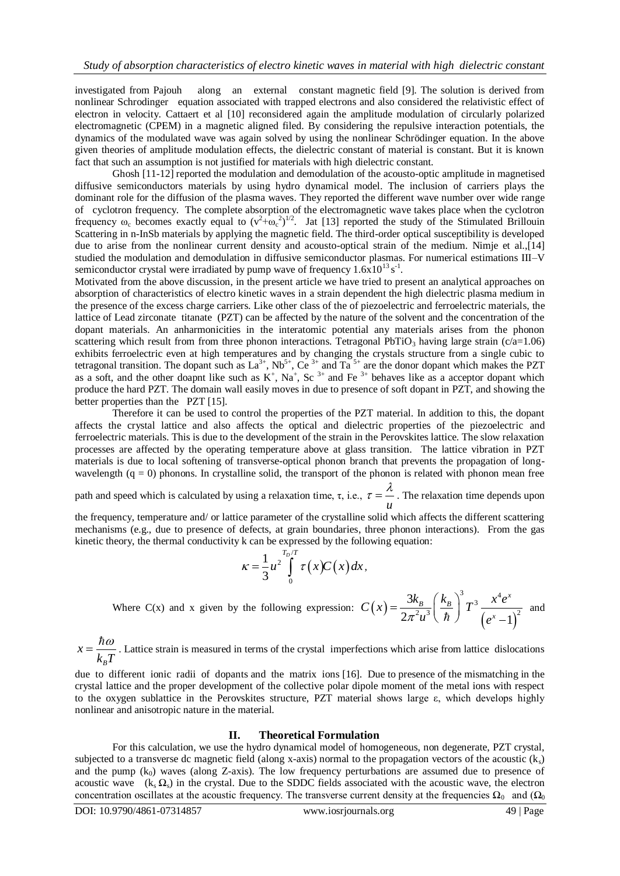investigated from Pajouh along an external constant magnetic field [9]. The solution is derived from nonlinear Schrodinger equation associated with trapped electrons and also considered the relativistic effect of electron in velocity. Cattaert et al [10] reconsidered again the amplitude modulation of circularly polarized electromagnetic (CPEM) in a magnetic aligned filed. By considering the repulsive interaction potentials, the dynamics of the modulated wave was again solved by using the nonlinear Schrödinger equation. In the above given theories of amplitude modulation effects, the dielectric constant of material is constant. But it is known fact that such an assumption is not justified for materials with high dielectric constant.

Ghosh [11-12] reported the modulation and demodulation of the acousto-optic amplitude in magnetised diffusive semiconductors materials by using hydro dynamical model. The inclusion of carriers plays the dominant role for the diffusion of the plasma waves. They reported the different wave number over wide range of cyclotron frequency. The complete absorption of the electromagnetic wave takes place when the cyclotron frequency  $\omega_c$  becomes exactly equal to  $(v^2 + \omega_c^2)^{1/2}$ . Jat [13] reported the study of the Stimulated Brillouin Scattering in n-InSb materials by applying the magnetic field. The third-order optical susceptibility is developed due to arise from the nonlinear current density and acousto-optical strain of the medium. Nimje et al.,[14] studied the modulation and demodulation in diffusive semiconductor plasmas. For numerical estimations III–V semiconductor crystal were irradiated by pump wave of frequency  $1.6x10^{13} s^{-1}$ .

Motivated from the above discussion, in the present article we have tried to present an analytical approaches on absorption of characteristics of electro kinetic waves in a strain dependent the high dielectric plasma medium in the presence of the excess charge carriers. Like other class of the of piezoelectric and ferroelectric materials, the lattice of Lead zirconate titanate (PZT) can be affected by the nature of the solvent and the concentration of the dopant materials. An anharmonicities in the interatomic potential any materials arises from the phonon scattering which result from from three phonon interactions. Tetragonal PbTiO<sub>3</sub> having large strain (c/a=1.06) exhibits ferroelectric even at high temperatures and by changing the crystals structure from a single cubic to tetragonal transition. The dopant such as  $La^{3+}$ , Nb<sup>5+</sup>, Ce<sup>3+</sup> and Ta<sup>5+</sup> are the donor dopant which makes the PZT as a soft, and the other doapnt like such as  $K^+$ , Na<sup>+</sup>, Sc<sup>3+</sup> and Fe<sup>3+</sup> behaves like as a acceptor dopant which produce the hard PZT. The domain wall easily moves in due to presence of soft dopant in PZT, and showing the better properties than the PZT [15].

Therefore it can be used to control the properties of the PZT material. In addition to this, the dopant affects the crystal lattice and also affects the optical and dielectric properties of the piezoelectric and ferroelectric materials. This is due to the development of the strain in the Perovskites lattice. The slow relaxation processes are affected by the operating temperature above at glass transition. The lattice vibration in PZT materials is due to local softening of transverse-optical phonon branch that prevents the propagation of longwavelength  $(q = 0)$  phonons. In crystalline solid, the transport of the phonon is related with phonon mean free

path and speed which is calculated by using a relaxation time,  $\tau$ , i.e.,  $\tau = \frac{v}{u}$  $\tau = \frac{\lambda}{\tau}$ . The relaxation time depends upon

the frequency, temperature and/ or lattice parameter of the crystalline solid which affects the different scattering mechanisms (e.g., due to presence of defects, at grain boundaries, three phonon interactions). From the gas kinetic theory, the thermal conductivity k can be expressed by the following equation:

$$
\kappa = \frac{1}{3} u^2 \int_0^{\frac{T_D/T}{T}} \tau(x) C(x) dx,
$$

Where C(x) and x given by the following expression:  $C(x)$  $(e^x-1)$  $\frac{k_B}{2\mu^3} \left(\frac{k_B}{\hbar}\right)^3 T^3 \frac{x^4 e^x}{(x-1)^2}$ 3  $2\pi^2 u^3(\hbar)$   $(e^x-1)$  $\frac{1}{B}\left(\frac{k_{B}}{T^{3}}\right)^{3}T^{3}$   $\frac{x^{4}e^{x}}{T^{3}}$  $C(x) = \frac{3k_B}{2\pi^2\mu^3} \left(\frac{k_B}{\hbar}\right)^3 T^3 \frac{x^4e}{\sqrt{x^3}}$  $\pi^2 u^3$   $(\hbar)$   $(e$  $\left(\frac{k_B}{T}\right)^3 T^3$ .  $=\frac{3k_{B}}{2\pi^{2}u^{3}}\left(\frac{k_{B}}{\hbar}\right)^{3}T^{3}\frac{x^{4}e}{\left(e^{x}-\right)}$ and

*B x*  $k_{\rm B}T$  $=\frac{\hbar\omega}{\hbar c}$ . Lattice strain is measured in terms of the crystal imperfections which arise from lattice dislocations

due to different ionic radii of dopants and the matrix ions [16]. Due to presence of the mismatching in the crystal lattice and the proper development of the collective polar dipole moment of the metal ions with respect to the oxygen sublattice in the Perovskites structure, PZT material shows large  $\varepsilon$ , which develops highly nonlinear and anisotropic nature in the material.

## **II. Theoretical Formulation**

For this calculation, we use the hydro dynamical model of homogeneous, non degenerate, PZT crystal, subjected to a transverse dc magnetic field (along x-axis) normal to the propagation vectors of the acoustic  $(k<sub>s</sub>)$ and the pump  $(k_0)$  waves (along Z-axis). The low frequency perturbations are assumed due to presence of acoustic wave  $(k_s \Omega_s)$  in the crystal. Due to the SDDC fields associated with the acoustic wave, the electron concentration oscillates at the acoustic frequency. The transverse current density at the frequencies  $\Omega_0$  and  $(\Omega_0)$ 

DOI: 10.9790/4861-07314857 www.iosrjournals.org 49 | Page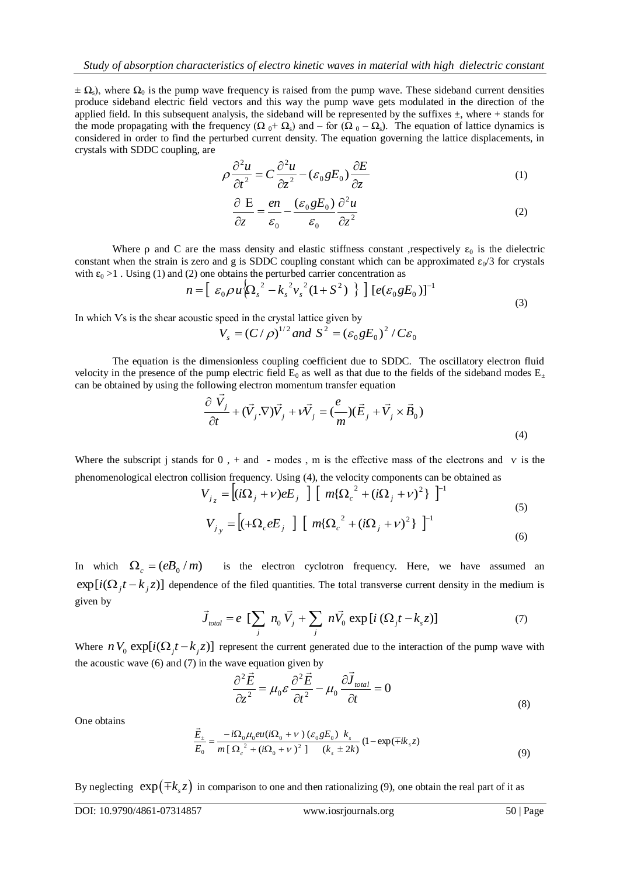$\pm \Omega$ s), where  $\Omega_0$  is the pump wave frequency is raised from the pump wave. These sideband current densities produce sideband electric field vectors and this way the pump wave gets modulated in the direction of the applied field. In this subsequent analysis, the sideband will be represented by the suffixes  $\pm$ , where + stands for the mode propagating with the frequency ( $\Omega_0 + \Omega_s$ ) and – for ( $\Omega_0 - \Omega_s$ ). The equation of lattice dynamics is considered in order to find the perturbed current density. The equation governing the lattice displacements, in crystals with SDDC coupling, are

$$
\rho \frac{\partial^2 u}{\partial t^2} = C \frac{\partial^2 u}{\partial z^2} - (\varepsilon_0 g E_0) \frac{\partial E}{\partial z}
$$
\n(1)

$$
\frac{\partial E}{\partial z} = \frac{en}{\varepsilon_0} - \frac{(\varepsilon_0 g E_0)}{\varepsilon_0} \frac{\partial^2 u}{\partial z^2}
$$
 (2)

Where  $\rho$  and C are the mass density and elastic stiffness constant ,respectively  $\varepsilon_0$  is the dielectric constant when the strain is zero and g is SDDC coupling constant which can be approximated  $\epsilon_0/3$  for crystals with  $\varepsilon_0 > 1$ . Using (1) and (2) one obtains the perturbed carrier concentration as

$$
n = \left[ \varepsilon_0 \rho u \left\{ \Omega_s^2 - k_s^2 v_s^2 (1 + S^2) \right\} \right] \left[ e(\varepsilon_0 g E_0) \right]^{-1}
$$
\n(3)

In which Vs is the shear acoustic speed in the crystal lattice given by

$$
V_s = (C/\rho)^{1/2}
$$
 and  $S^2 = (\varepsilon_0 g E_0)^2 / C \varepsilon_0$ 

The equation is the dimensionless coupling coefficient due to SDDC. The oscillatory electron fluid velocity in the presence of the pump electric field  $E_0$  as well as that due to the fields of the sideband modes  $E_{\pm}$ can be obtained by using the following electron momentum transfer equation

$$
\frac{\partial \vec{V}_j}{\partial t} + (\vec{V}_j \cdot \nabla) \vec{V}_j + \nu \vec{V}_j = (\frac{e}{m})(\vec{E}_j + \vec{V}_j \times \vec{B}_0)
$$
\n(4)

Where the subscript j stands for  $0$ , + and - modes, m is the effective mass of the electrons and v is the phenomenological electron collision frequency. Using (4), the velocity components can be obtained as

$$
V_{j_z} = \left[ (i\Omega_j + v)eE_j \right] \left[ m\{\Omega_c^2 + (i\Omega_j + v)^2\} \right]^{-1}
$$
  
\n
$$
V_{j_y} = \left[ (+\Omega_c eE_j \right] \left[ m\{\Omega_c^2 + (i\Omega_j + v)^2\} \right]^{-1}
$$
\n(5)

In which  $\Omega_c = (eB_0/m)$  is the electron cyclotron frequency. Here, we have assumed an  $\exp[i(\Omega_j t - k_j z)]$  dependence of the filed quantities. The total transverse current density in the medium is given by  $\vec{J}_{total} = e \left[ \sum_j n_0 \vec{V}_j + \sum_j n \vec{V}_0 \exp[i(\Omega_j t - k_s z)] \right]$  (7) given by

$$
\vec{J}_{total} = e \left[ \sum_{j} n_0 \vec{V}_j + \sum_{j} n \vec{V}_0 \exp[i (\Omega_j t - k_s z)] \right]
$$
(7)

Where  $n V_0 \exp[i(\Omega_j t - k_j z)]$  represent the current generated due to the interaction of the pump wave with the acoustic wave (6) and (7) in the wave equation given by

$$
\frac{\partial^2 \vec{E}}{\partial z^2} = \mu_0 \varepsilon \frac{\partial^2 \vec{E}}{\partial t^2} - \mu_0 \frac{\partial \vec{J}_{total}}{\partial t} = 0
$$
\n(8)

One obtains

$$
\frac{\vec{E}_{\pm}}{E_0} = \frac{-i\Omega_0 \mu_0 e u (i\Omega_0 + \nu) (\varepsilon_0 g E_0) k_s}{m [\Omega_c^2 + (i\Omega_0 + \nu)^2] (k_s \pm 2k)} (1 - \exp(\mp ik_s z))
$$
\n(9)

By neglecting  $exp(\pm k_s z)$  in comparison to one and then rationalizing (9), one obtain the real part of it as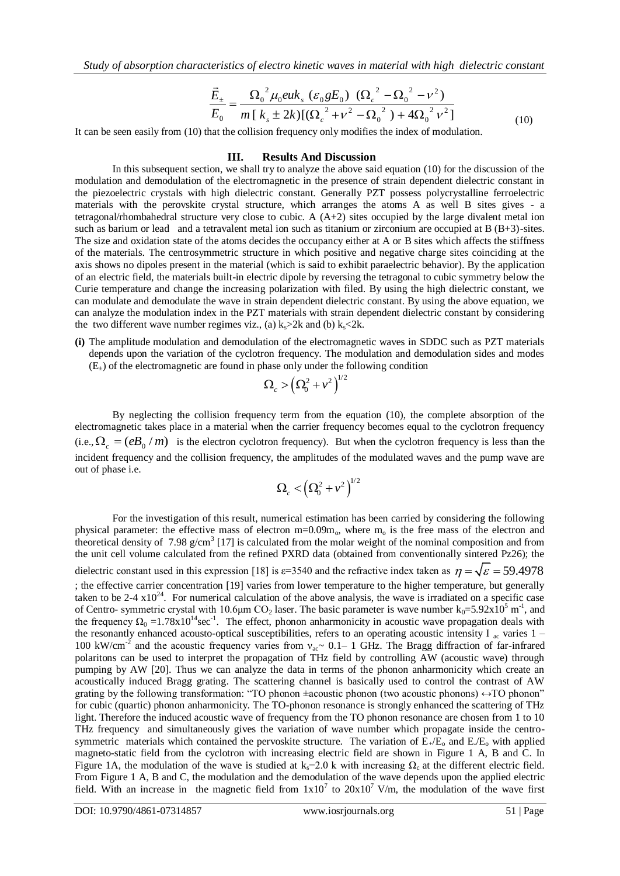*Study of absorption characteristics of electro kinetic waves in material with high dielectric constant*

$$
\frac{\vec{E}_{\pm}}{E_0} = \frac{\Omega_0^2 \mu_0 e u k_s \left(\varepsilon_0 g E_0\right) \left(\Omega_c^2 - \Omega_0^2 - \nu^2\right)}{m \left[k_s \pm 2k\right] \left[(\Omega_c^2 + \nu^2 - \Omega_0^2\right) + 4\Omega_0^2 \nu^2\right]}
$$
(10)

It can be seen easily from (10) that the collision frequency only modifies the index of modulation.

#### **III. Results And Discussion**

In this subsequent section, we shall try to analyze the above said equation (10) for the discussion of the modulation and demodulation of the electromagnetic in the presence of strain dependent dielectric constant in the piezoelectric crystals with high dielectric constant. Generally PZT possess polycrystalline ferroelectric materials with the perovskite crystal structure, which arranges the atoms A as well B sites gives - a tetragonal/rhombahedral structure very close to cubic. A (A+2) sites occupied by the large divalent metal ion such as barium or lead and a tetravalent metal ion such as titanium or zirconium are occupied at B (B+3)-sites. The size and oxidation state of the atoms decides the occupancy either at A or B sites which affects the stiffness of the materials. The centrosymmetric structure in which positive and negative charge sites coinciding at the axis shows no dipoles present in the material (which is said to exhibit paraelectric behavior). By the application of an electric field, the materials built-in electric dipole by reversing the tetragonal to cubic symmetry below the Curie temperature and change the increasing polarization with filed. By using the high dielectric constant, we can modulate and demodulate the wave in strain dependent dielectric constant. By using the above equation, we can analyze the modulation index in the PZT materials with strain dependent dielectric constant by considering the two different wave number regimes viz., (a)  $k_{\rm s}$  >2k and (b)  $k_{\rm s}$  <2k.

**(i)** The amplitude modulation and demodulation of the electromagnetic waves in SDDC such as PZT materials depends upon the variation of the cyclotron frequency. The modulation and demodulation sides and modes  $(E_{+})$  of the electromagnetic are found in phase only under the following condition

$$
\Omega_{c}>\left(\Omega_{0}^{2}+\nu^{2}\right)^{\!\!1/2}
$$

By neglecting the collision frequency term from the equation (10), the complete absorption of the electromagnetic takes place in a material when the carrier frequency becomes equal to the cyclotron frequency (i.e.,  $\Omega_c = (eB_0/m)$  is the electron cyclotron frequency). But when the cyclotron frequency is less than the incident frequency and the collision frequency, the amplitudes of the modulated waves and the pump wave are out of phase i.e.

$$
\Omega_{c}<\!\!\left( \Omega_{0}^{2}+\nu^{2}\right) ^{\!\!1/2}
$$

For the investigation of this result, numerical estimation has been carried by considering the following physical parameter: the effective mass of electron  $m=0.09m_0$ , where  $m_0$  is the free mass of the electron and theoretical density of  $7.98 \text{ g/cm}^3$  [17] is calculated from the molar weight of the nominal composition and from the unit cell volume calculated from the refined PXRD data (obtained from conventionally sintered Pz26); the dielectric constant used in this expression [18] is  $\varepsilon$ =3540 and the refractive index taken as  $\eta = \sqrt{\varepsilon} = 59.4978$ ; the effective carrier concentration [19] varies from lower temperature to the higher temperature, but generally taken to be 2-4  $x10^{24}$ . For numerical calculation of the above analysis, the wave is irradiated on a specific case of Centro- symmetric crystal with 10.6 $\mu$ m CO<sub>2</sub> laser. The basic parameter is wave number k<sub>0</sub>=5.92x10<sup>5</sup> m<sup>-1</sup>, and the frequency  $\Omega_0 = 1.78 \times 10^{14}$  sec<sup>-1</sup>. The effect, phonon anharmonicity in acoustic wave propagation deals with the resonantly enhanced acousto-optical susceptibilities, refers to an operating acoustic intensity I  $_{ac}$  varies 1 – 100 kW/cm<sup>-2</sup> and the acoustic frequency varies from  $v_{ac}$  ~ 0.1– 1 GHz. The Bragg diffraction of far-infrared polaritons can be used to interpret the propagation of THz field by controlling AW (acoustic wave) through pumping by AW [20]. Thus we can analyze the data in terms of the phonon anharmonicity which create an acoustically induced Bragg grating. The scattering channel is basically used to control the contrast of AW grating by the following transformation: "TO phonon  $\pm$ acoustic phonon (two acoustic phonons)  $\leftrightarrow$ TO phonon" for cubic (quartic) phonon anharmonicity. The TO-phonon resonance is strongly enhanced the scattering of THz light. Therefore the induced acoustic wave of frequency from the TO phonon resonance are chosen from 1 to 10 THz frequency and simultaneously gives the variation of wave number which propagate inside the centrosymmetric materials which contained the pervoskite structure. The variation of  $E_{+}/E_{0}$  and  $E/E_{0}$  with applied magneto-static field from the cyclotron with increasing electric field are shown in Figure 1 A, B and C. In Figure 1A, the modulation of the wave is studied at k<sub>s</sub>=2.0 k with increasing  $\Omega_c$  at the different electric field. From Figure 1 A, B and C, the modulation and the demodulation of the wave depends upon the applied electric field. With an increase in the magnetic field from  $1x10^7$  to  $20x10^7$  V/m, the modulation of the wave first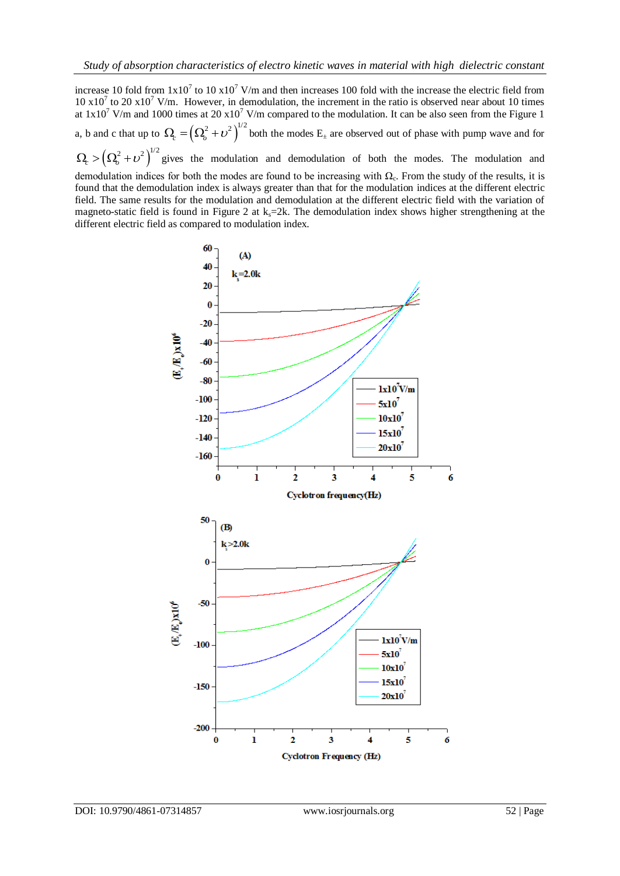increase 10 fold from  $1x10^7$  to 10  $x10^7$  V/m and then increases 100 fold with the increase the electric field from  $10 \times 10^7$  to 20  $\times 10^7$  V/m. However, in demodulation, the increment in the ratio is observed near about 10 times at  $1x10^7$  V/m and 1000 times at  $20x10^7$  V/m compared to the modulation. It can be also seen from the Figure 1 a, b and c that up to  $\Omega_e = (\Omega_o^2 + \nu^2)^{1/2}$  both the modes  $E_{\pm}$  are observed out of phase with pump wave and for  $\Omega_{c} > (\Omega_{o}^{2} + \nu^{2})^{1/2}$  gives the modulation and demodulation of both the modes. The modulation and

demodulation indices for both the modes are found to be increasing with  $\Omega_c$ . From the study of the results, it is found that the demodulation index is always greater than that for the modulation indices at the different electric field. The same results for the modulation and demodulation at the different electric field with the variation of magneto-static field is found in Figure 2 at  $k_s=2k$ . The demodulation index shows higher strengthening at the different electric field as compared to modulation index.

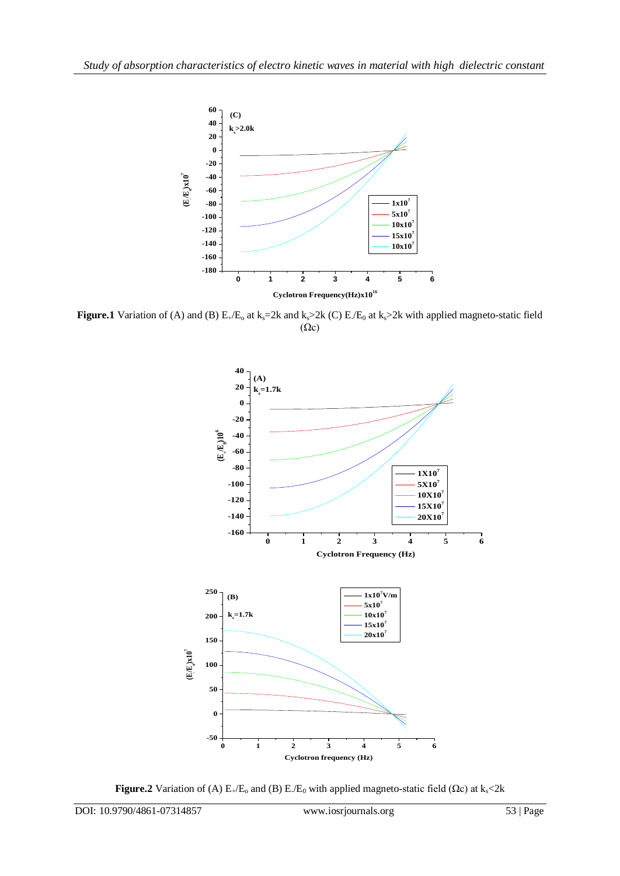

**Figure.1** Variation of (A) and (B)  $E_4/E_0$  at  $k_s=2k$  and  $k_s>2k$  (C)  $E/E_0$  at  $k_s>2k$  with applied magneto-static field  $(\Omega c)$ 



**Figure.2** Variation of (A)  $E_{+}/E_{0}$  and (B)  $E_{-}/E_{0}$  with applied magneto-static field ( $\Omega$ c) at k<sub>s</sub><2k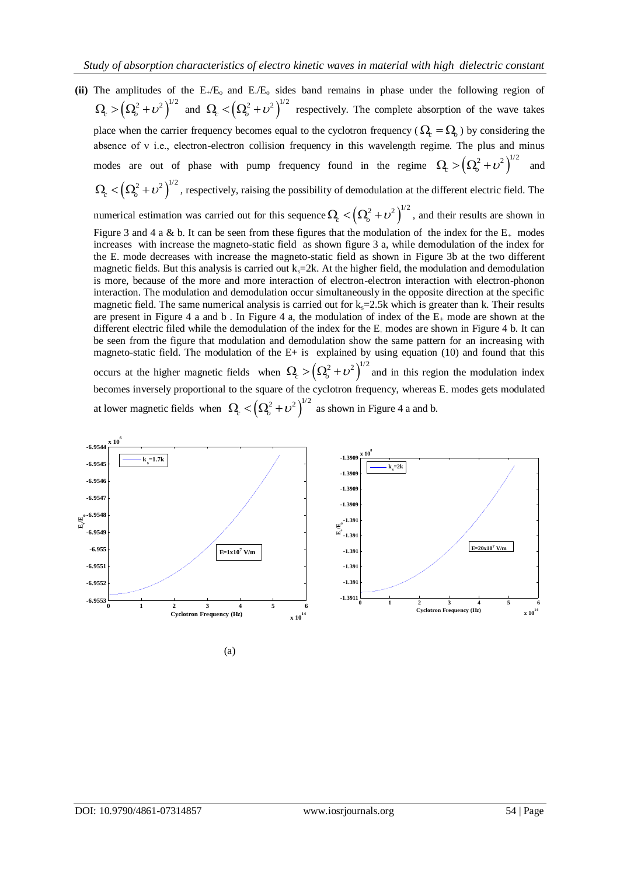- (ii) The amplitudes of the  $E_{+}/E_{o}$  and  $E/E_{o}$  sides band remains in phase under the following region of  $\Omega_{c} > (\Omega_{o}^{2} + \nu^{2})^{1/2}$  and  $\Omega_{c} < (\Omega_{o}^{2} + \nu^{2})^{1/2}$  respectively. The complete absorption of the wave takes place when the carrier frequency becomes equal to the cyclotron frequency ( $\Omega_c = \Omega_o$ ) by considering the absence of v i.e., electron-electron collision frequency in this wavelength regime. The plus and minus modes are out of phase with pump frequency found in the regime  $\Omega_c > (\Omega_o^2 + \nu^2)^{1/2}$ and  $\Omega_c < (\Omega_o^2 + \nu^2)^{1/2}$ , respectively, raising the possibility of demodulation at the different electric field. The numerical estimation was carried out for this sequence  $\Omega_c < (\Omega_o^2 + \nu^2)^{1/2}$ , and their results are shown in Figure 3 and 4 a & b. It can be seen from these figures that the modulation of the index for the  $E_{+}$  modes increases with increase the magneto-static field as shown figure 3 a, while demodulation of the index for the E- mode decreases with increase the magneto-static field as shown in Figure 3b at the two different
	- magnetic fields. But this analysis is carried out  $k<sub>s</sub>=2k$ . At the higher field, the modulation and demodulation is more, because of the more and more interaction of electron-electron interaction with electron-phonon interaction. The modulation and demodulation occur simultaneously in the opposite direction at the specific magnetic field. The same numerical analysis is carried out for  $k<sub>s</sub>=2.5k$  which is greater than k. Their results are present in Figure 4 a and b. In Figure 4 a, the modulation of index of the  $E_{+}$  mode are shown at the different electric filed while the demodulation of the index for the E- modes are shown in Figure 4 b. It can be seen from the figure that modulation and demodulation show the same pattern for an increasing with magneto-static field. The modulation of the E+ is explained by using equation (10) and found that this occurs at the higher magnetic fields when  $\Omega_c > (\Omega_o^2 + \nu^2)^{1/2}$  and in this region the modulation index becomes inversely proportional to the square of the cyclotron frequency, whereas E<sub>-</sub> modes gets modulated at lower magnetic fields when  $\Omega_c < (\Omega_o^2 + \nu^2)^{1/2}$  as shown in Figure 4 a and b.



(a)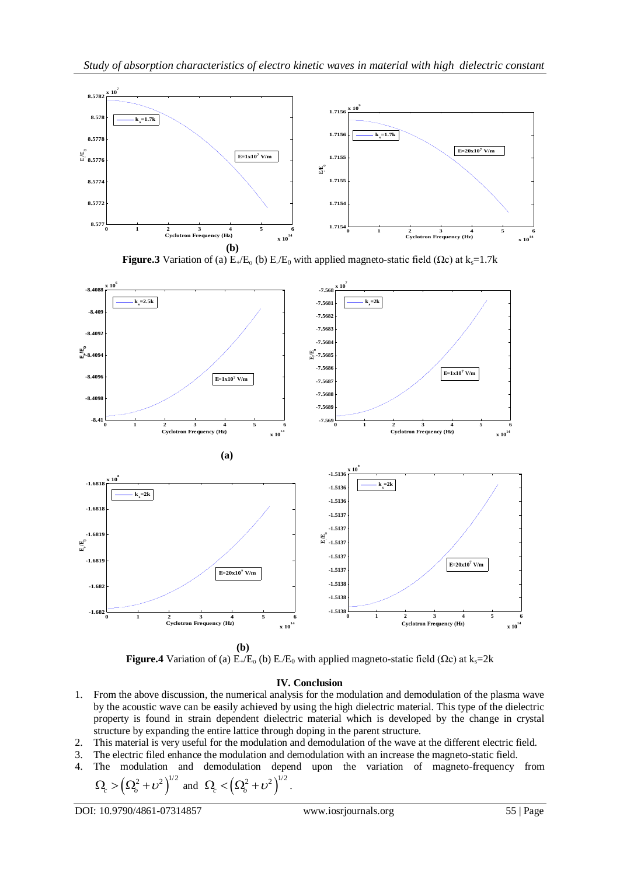





**Figure.4** Variation of (a)  $E_{+}/E_{0}$  (b)  $E_{0}$  with applied magneto-static field ( $\Omega$ c) at  $k_s$ =2k

## **IV. Conclusion**

- 1. From the above discussion, the numerical analysis for the modulation and demodulation of the plasma wave by the acoustic wave can be easily achieved by using the high dielectric material. This type of the dielectric property is found in strain dependent dielectric material which is developed by the change in crystal structure by expanding the entire lattice through doping in the parent structure.
- 2. This material is very useful for the modulation and demodulation of the wave at the different electric field.
- 3. The electric filed enhance the modulation and demodulation with an increase the magneto-static field.
- 4. The modulation and demodulation depend upon the variation of magneto-frequency from  $\Omega_{c} > (\Omega_{o}^{2} + \nu^{2})^{1/2}$  and  $\Omega_{c} < (\Omega_{o}^{2} + \nu^{2})^{1/2}$ .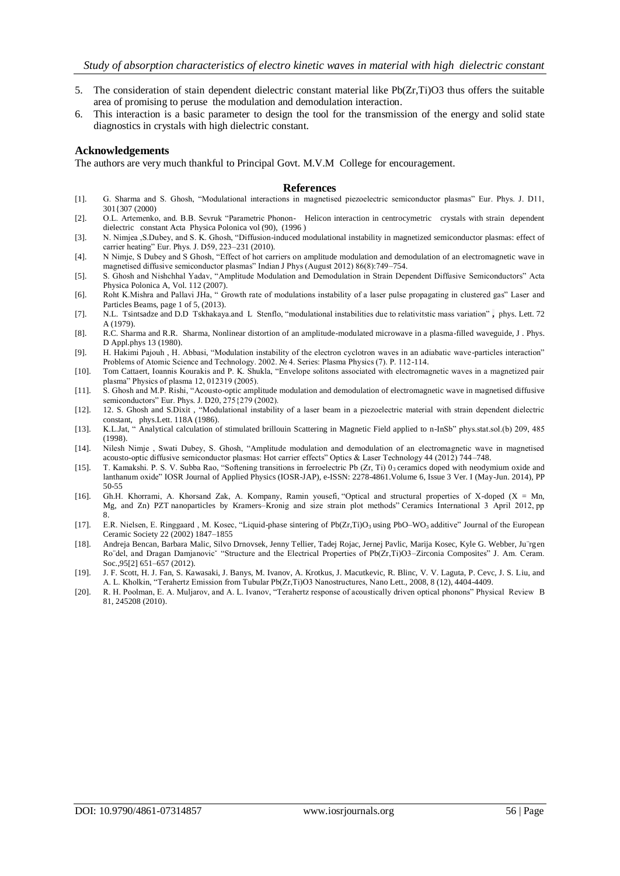- 5. The consideration of stain dependent dielectric constant material like Pb(Zr,Ti)O3 thus offers the suitable area of promising to peruse the modulation and demodulation interaction.
- 6. This interaction is a basic parameter to design the tool for the transmission of the energy and solid state diagnostics in crystals with high dielectric constant.

## **Acknowledgements**

The authors are very much thankful to Principal Govt. M.V.M College for encouragement.

#### **References**

- [1]. G. Sharma and S. Ghosh, "Modulational interactions in magnetised piezoelectric semiconductor plasmas" Eur. Phys. J. D11, 301{307 (2000)
- [2]. O.L. Artemenko, and. B.B. Sevruk "Parametric Phonon- Helicon interaction in centrocymetric crystals with strain dependent dielectric constant Acta Physica Polonica vol (90), (1996 )
- [3]. N. Nimjea ,S.Dubey, and S. K. Ghosh, "Diffusion-induced modulational instability in magnetized semiconductor plasmas: effect of carrier heating" Eur. Phys. J. D59, 223–231 (2010).
- [4]. N Nimje, S Dubey and S Ghosh, "Effect of hot carriers on amplitude modulation and demodulation of an electromagnetic wave in magnetised diffusive semiconductor plasmas" Indian J Phys (August 2012) 86(8):749–754.
- [5]. S. Ghosh and Nishchhal Yadav, "Amplitude Modulation and Demodulation in Strain Dependent Diffusive Semiconductors" Acta Physica Polonica A, Vol. 112 (2007).
- [6]. Roht K.Mishra and Pallavi JHa, " Growth rate of modulations instability of a laser pulse propagating in clustered gas" Laser and Particles Beams, page 1 of 5, (2013).
- [7]. N.L. Tsintsadze and D.D Tskhakaya.and L Stenflo, "modulational instabilities due to relativitstic mass variation" **,** phys. Lett. 72 A (1979).
- [8]. R.C. Sharma and R.R. Sharma, Nonlinear distortion of an amplitude-modulated microwave in a plasma-filled waveguide, J . Phys. D Appl.phys 13 (1980).
- [9]. H. Hakimi Pajouh , H. Abbasi, "Modulation instability of the electron cyclotron waves in an adiabatic wave-particles interaction" Problems of Atomic Science and Technology. 2002. № 4. Series: Plasma Physics (7). P. 112-114.
- [10]. Tom Cattaert, Ioannis Kourakis and P. K. Shukla, "Envelope solitons associated with electromagnetic waves in a magnetized pair plasma" Physics of plasma 12, 012319 (2005).
- [11]. S. Ghosh and M.P. Rishi, "Acousto-optic amplitude modulation and demodulation of electromagnetic wave in magnetised diffusive semiconductors" Eur. Phys. J. D20, 275{279 (2002).
- [12]. 12. S. Ghosh and S.Dixit , "Modulational instability of a laser beam in a piezoelectric material with strain dependent dielectric constant, phys.Lett. 118A (1986).
- [13]. K.L.Jat, " Analytical calculation of stimulated brillouin Scattering in Magnetic Field applied to n-InSb" phys.stat.sol.(b) 209, 485 (1998).
- [14]. Nilesh Nimje , Swati Dubey, S. Ghosh, "Amplitude modulation and demodulation of an electromagnetic wave in magnetised acousto-optic diffusive semiconductor plasmas: Hot carrier effects" Optics & Laser Technology 44 (2012) 744–748.
- [15]. T. Kamakshi. P. S. V. Subba Rao, "Softening transitions in ferroelectric Pb (Zr, Ti) 03 ceramics doped with neodymium oxide and lanthanum oxide" IOSR Journal of Applied Physics (IOSR-JAP), e-ISSN: 2278-4861.Volume 6, Issue 3 Ver. I (May-Jun. 2014), PP 50-55
- [16]. Gh.H. Khorrami, A. Khorsand Zak, A. Kompany, Ramin yousefi, "Optical and structural properties of X-doped (X = Mn, Mg, and Zn) PZT nanoparticles by Kramers–Kronig and size strain plot methods" Ceramics International 3 April 2012, pp 8.
- [17]. E.R. Nielsen, E. Ringgaard, M. Kosec, "Liquid-phase sintering of Pb(Zr,Ti)O<sub>3</sub> using PbO–WO<sub>3</sub> additive" Journal of the European Ceramic Society 22 (2002) 1847–1855
- [18]. Andreja Bencan, Barbara Malic, Silvo Drnovsek, Jenny Tellier, Tadej Rojac, Jernej Pavlic, Marija Kosec, Kyle G. Webber, Ju¨rgen Ro¨del, and Dragan Damjanovicˇ "Structure and the Electrical Properties of Pb(Zr,Ti)O3–Zirconia Composites" J. Am. Ceram. Soc.,95[2] 651–657 (2012).
- [19]. J. F. Scott, H. J. Fan, S. Kawasaki, J. Banys, M. Ivanov, A. Krotkus, J. Macutkevic, R. Blinc, V. V. Laguta, P. Cevc, J. S. Liu, and A. L. Kholkin, "Terahertz Emission from Tubular Pb(Zr,Ti)O3 Nanostructures, Nano Lett., 2008, 8 (12), 4404-4409.
- [20]. R. H. Poolman, E. A. Muljarov, and A. L. Ivanov, "Terahertz response of acoustically driven optical phonons" Physical Review B 81, 245208 (2010).